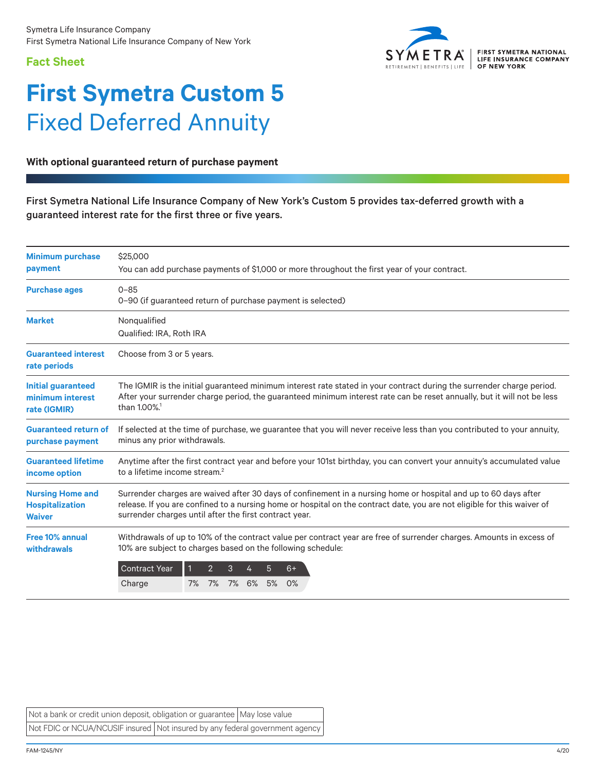## **Fact Sheet**



## **First Symetra Custom 5** Fixed Deferred Annuity

**With optional guaranteed return of purchase payment**

First Symetra National Life Insurance Company of New York's Custom 5 provides tax-deferred growth with a guaranteed interest rate for the first three or five years.

| <b>Minimum purchase</b>                    | \$25,000                                                                                                                                                                            |
|--------------------------------------------|-------------------------------------------------------------------------------------------------------------------------------------------------------------------------------------|
| payment                                    | You can add purchase payments of \$1,000 or more throughout the first year of your contract.                                                                                        |
| <b>Purchase ages</b>                       | $0 - 85$<br>0-90 (if guaranteed return of purchase payment is selected)                                                                                                             |
| <b>Market</b>                              | Nonqualified<br>Qualified: IRA, Roth IRA                                                                                                                                            |
| <b>Guaranteed interest</b><br>rate periods | Choose from 3 or 5 years.                                                                                                                                                           |
| <b>Initial guaranteed</b>                  | The IGMIR is the initial guaranteed minimum interest rate stated in your contract during the surrender charge period.                                                               |
| minimum interest                           | After your surrender charge period, the guaranteed minimum interest rate can be reset annually, but it will not be less                                                             |
| rate (IGMIR)                               | than 1.00%. <sup>1</sup>                                                                                                                                                            |
| <b>Guaranteed return of</b>                | If selected at the time of purchase, we guarantee that you will never receive less than you contributed to your annuity,                                                            |
| purchase payment                           | minus any prior withdrawals.                                                                                                                                                        |
| <b>Guaranteed lifetime</b>                 | Anytime after the first contract year and before your 101st birthday, you can convert your annuity's accumulated value                                                              |
| income option                              | to a lifetime income stream. <sup>2</sup>                                                                                                                                           |
| <b>Nursing Home and</b>                    | Surrender charges are waived after 30 days of confinement in a nursing home or hospital and up to 60 days after                                                                     |
| <b>Hospitalization</b>                     | release. If you are confined to a nursing home or hospital on the contract date, you are not eligible for this waiver of                                                            |
| <b>Waiver</b>                              | surrender charges until after the first contract year.                                                                                                                              |
| Free 10% annual<br>withdrawals             | Withdrawals of up to 10% of the contract value per contract year are free of surrender charges. Amounts in excess of<br>10% are subject to charges based on the following schedule: |
|                                            | <b>Contract Year</b><br>$\mathbf{1}$<br>2<br>3<br>$6+$<br>5<br>Charge<br>7%<br>7%<br>6%<br>5%<br>0%<br>7%                                                                           |

Not a bank or credit union deposit, obligation or guarantee  $\vert$  May lose value Not FDIC or NCUA/NCUSIF insured Not insured by any federal government agency